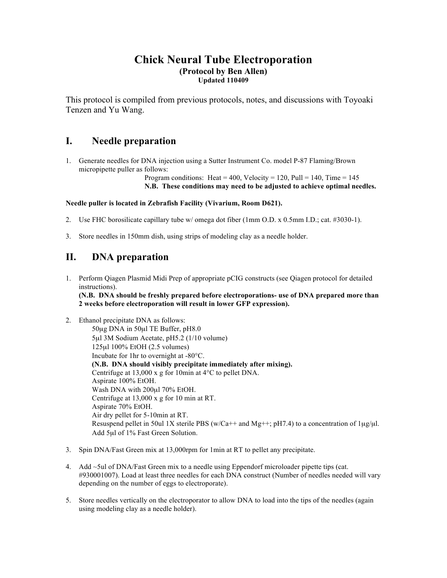### **Chick Neural Tube Electroporation (Protocol by Ben Allen) Updated 110409**

This protocol is compiled from previous protocols, notes, and discussions with Toyoaki Tenzen and Yu Wang.

## **I. Needle preparation**

1. Generate needles for DNA injection using a Sutter Instrument Co. model P-87 Flaming/Brown micropipette puller as follows:

Program conditions: Heat = 400, Velocity = 120, Pull = 140, Time = 145 **N.B. These conditions may need to be adjusted to achieve optimal needles.**

### **Needle puller is located in Zebrafish Facility (Vivarium, Room D621).**

- 2. Use FHC borosilicate capillary tube w/ omega dot fiber (1mm O.D. x 0.5mm I.D.; cat. #3030-1).
- 3. Store needles in 150mm dish, using strips of modeling clay as a needle holder.

# **II. DNA preparation**

- 1. Perform Qiagen Plasmid Midi Prep of appropriate pCIG constructs (see Qiagen protocol for detailed instructions). **(N.B. DNA should be freshly prepared before electroporations- use of DNA prepared more than 2 weeks before electroporation will result in lower GFP expression).**
- 2. Ethanol precipitate DNA as follows: 50µg DNA in 50µl TE Buffer, pH8.0 5µl 3M Sodium Acetate, pH5.2 (1/10 volume) 125µl 100% EtOH (2.5 volumes) Incubate for 1hr to overnight at -80°C. **(N.B. DNA should visibly precipitate immediately after mixing).** Centrifuge at 13,000 x g for 10min at 4°C to pellet DNA. Aspirate 100% EtOH. Wash DNA with 200µl 70% EtOH. Centrifuge at 13,000 x g for 10 min at RT. Aspirate 70% EtOH. Air dry pellet for 5-10min at RT. Resuspend pellet in 50ul 1X sterile PBS (w/Ca++ and Mg++; pH7.4) to a concentration of  $1\mu\alpha/\mu$ . Add 5µl of 1% Fast Green Solution.
- 3. Spin DNA/Fast Green mix at 13,000rpm for 1min at RT to pellet any precipitate.
- 4. Add ~5ul of DNA/Fast Green mix to a needle using Eppendorf microloader pipette tips (cat. #930001007). Load at least three needles for each DNA construct (Number of needles needed will vary depending on the number of eggs to electroporate).
- 5. Store needles vertically on the electroporator to allow DNA to load into the tips of the needles (again using modeling clay as a needle holder).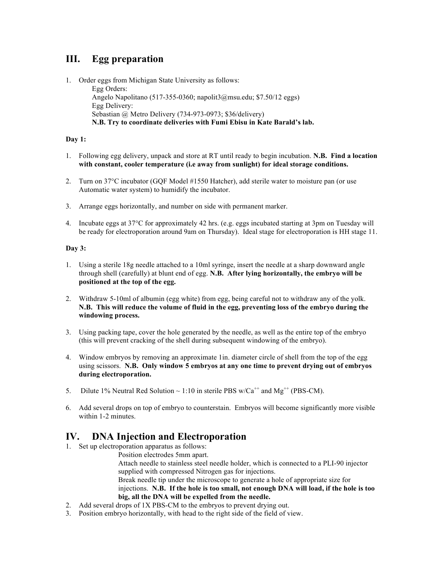# **III. Egg preparation**

1. Order eggs from Michigan State University as follows:

Egg Orders: Angelo Napolitano (517-355-0360; napolit3@msu.edu; \$7.50/12 eggs) Egg Delivery: Sebastian @ Metro Delivery (734-973-0973; \$36/delivery) **N.B. Try to coordinate deliveries with Fumi Ebisu in Kate Barald's lab.**

### **Day 1:**

- 1. Following egg delivery, unpack and store at RT until ready to begin incubation. **N.B. Find a location with constant, cooler temperature (i.e away from sunlight) for ideal storage conditions.**
- 2. Turn on 37°C incubator (GQF Model #1550 Hatcher), add sterile water to moisture pan (or use Automatic water system) to humidify the incubator.
- 3. Arrange eggs horizontally, and number on side with permanent marker.
- 4. Incubate eggs at 37°C for approximately 42 hrs. (e.g. eggs incubated starting at 3pm on Tuesday will be ready for electroporation around 9am on Thursday). Ideal stage for electroporation is HH stage 11.

#### **Day 3:**

- 1. Using a sterile 18g needle attached to a 10ml syringe, insert the needle at a sharp downward angle through shell (carefully) at blunt end of egg. **N.B. After lying horizontally, the embryo will be positioned at the top of the egg.**
- 2. Withdraw 5-10ml of albumin (egg white) from egg, being careful not to withdraw any of the yolk. **N.B. This will reduce the volume of fluid in the egg, preventing loss of the embryo during the windowing process.**
- 3. Using packing tape, cover the hole generated by the needle, as well as the entire top of the embryo (this will prevent cracking of the shell during subsequent windowing of the embryo).
- 4. Window embryos by removing an approximate 1in. diameter circle of shell from the top of the egg using scissors. **N.B. Only window 5 embryos at any one time to prevent drying out of embryos during electroporation.**
- 5. Dilute 1% Neutral Red Solution  $\sim 1:10$  in sterile PBS w/Ca<sup>++</sup> and Mg<sup>++</sup> (PBS-CM).
- 6. Add several drops on top of embryo to counterstain. Embryos will become significantly more visible within 1-2 minutes.

## **IV. DNA Injection and Electroporation**

1. Set up electroporation apparatus as follows:

Position electrodes 5mm apart.

Attach needle to stainless steel needle holder, which is connected to a PLI-90 injector supplied with compressed Nitrogen gas for injections. Break needle tip under the microscope to generate a hole of appropriate size for injections. **N.B. If the hole is too small, not enough DNA will load, if the hole is too big, all the DNA will be expelled from the needle.** 

- 2. Add several drops of 1X PBS-CM to the embryos to prevent drying out.
- 3. Position embryo horizontally, with head to the right side of the field of view.